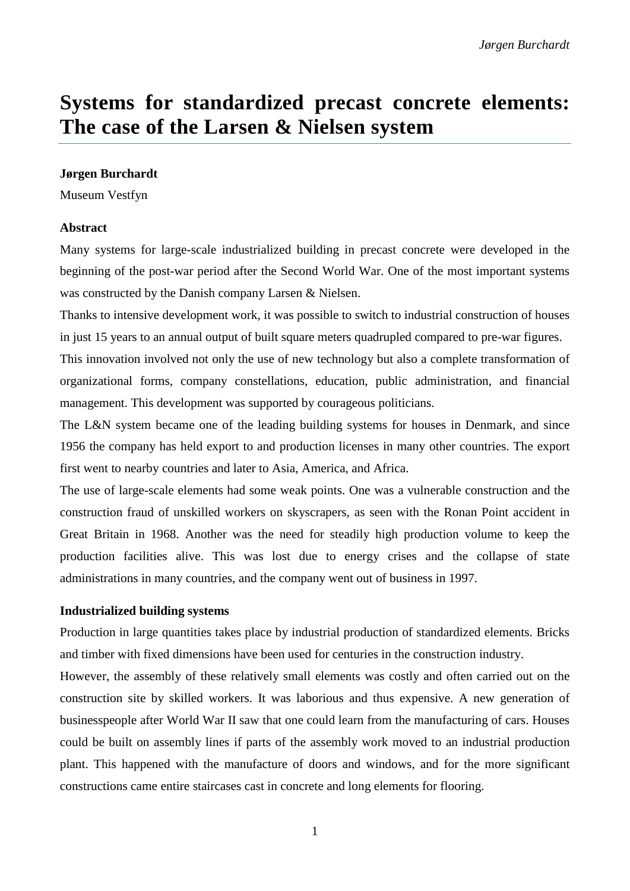# **Systems for standardized precast concrete elements: The case of the Larsen & Nielsen system**

# **Jørgen Burchardt**

Museum Vestfyn

# **Abstract**

Many systems for large-scale industrialized building in precast concrete were developed in the beginning of the post-war period after the Second World War. One of the most important systems was constructed by the Danish company Larsen & Nielsen.

Thanks to intensive development work, it was possible to switch to industrial construction of houses in just 15 years to an annual output of built square meters quadrupled compared to pre-war figures.

This innovation involved not only the use of new technology but also a complete transformation of organizational forms, company constellations, education, public administration, and financial management. This development was supported by courageous politicians.

The L&N system became one of the leading building systems for houses in Denmark, and since 1956 the company has held export to and production licenses in many other countries. The export first went to nearby countries and later to Asia, America, and Africa.

The use of large-scale elements had some weak points. One was a vulnerable construction and the construction fraud of unskilled workers on skyscrapers, as seen with the Ronan Point accident in Great Britain in 1968. Another was the need for steadily high production volume to keep the production facilities alive. This was lost due to energy crises and the collapse of state administrations in many countries, and the company went out of business in 1997.

# **Industrialized building systems**

Production in large quantities takes place by industrial production of standardized elements. Bricks and timber with fixed dimensions have been used for centuries in the construction industry.

However, the assembly of these relatively small elements was costly and often carried out on the construction site by skilled workers. It was laborious and thus expensive. A new generation of businesspeople after World War II saw that one could learn from the manufacturing of cars. Houses could be built on assembly lines if parts of the assembly work moved to an industrial production plant. This happened with the manufacture of doors and windows, and for the more significant constructions came entire staircases cast in concrete and long elements for flooring.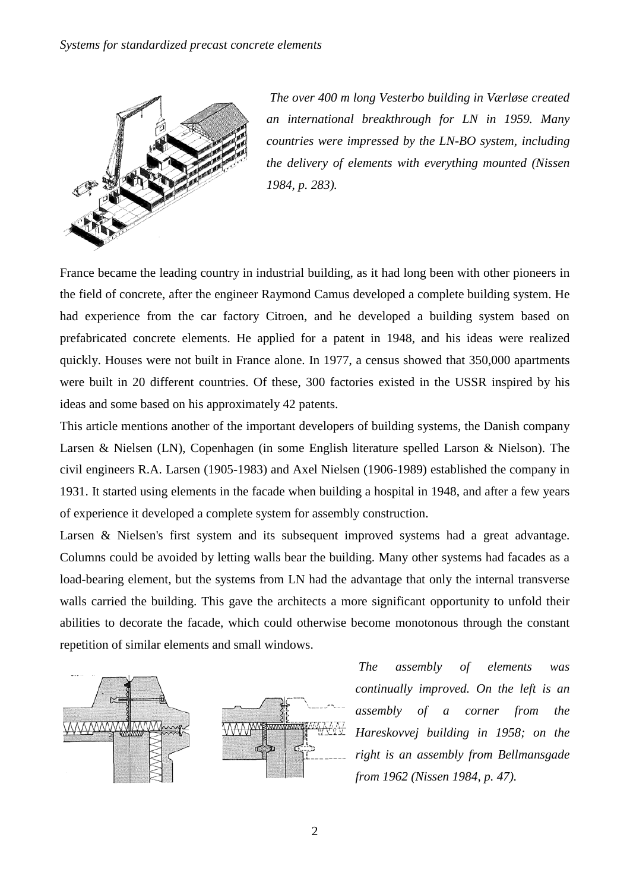

*The over 400 m long Vesterbo building in Værløse created an international breakthrough for LN in 1959. Many countries were impressed by the LN-BO system, including the delivery of elements with everything mounted (Nissen 1984, p. 283).*

France became the leading country in industrial building, as it had long been with other pioneers in the field of concrete, after the engineer Raymond Camus developed a complete building system. He had experience from the car factory Citroen, and he developed a building system based on prefabricated concrete elements. He applied for a patent in 1948, and his ideas were realized quickly. Houses were not built in France alone. In 1977, a census showed that 350,000 apartments were built in 20 different countries. Of these, 300 factories existed in the USSR inspired by his ideas and some based on his approximately 42 patents.

This article mentions another of the important developers of building systems, the Danish company Larsen & Nielsen (LN), Copenhagen (in some English literature spelled Larson & Nielson). The civil engineers R.A. Larsen (1905-1983) and Axel Nielsen (1906-1989) established the company in 1931. It started using elements in the facade when building a hospital in 1948, and after a few years of experience it developed a complete system for assembly construction.

Larsen & Nielsen's first system and its subsequent improved systems had a great advantage. Columns could be avoided by letting walls bear the building. Many other systems had facades as a load-bearing element, but the systems from LN had the advantage that only the internal transverse walls carried the building. This gave the architects a more significant opportunity to unfold their abilities to decorate the facade, which could otherwise become monotonous through the constant repetition of similar elements and small windows.





*The assembly of elements was continually improved. On the left is an assembly of a corner from the Hareskovvej building in 1958; on the right is an assembly from Bellmansgade from 1962 (Nissen 1984, p. 47).*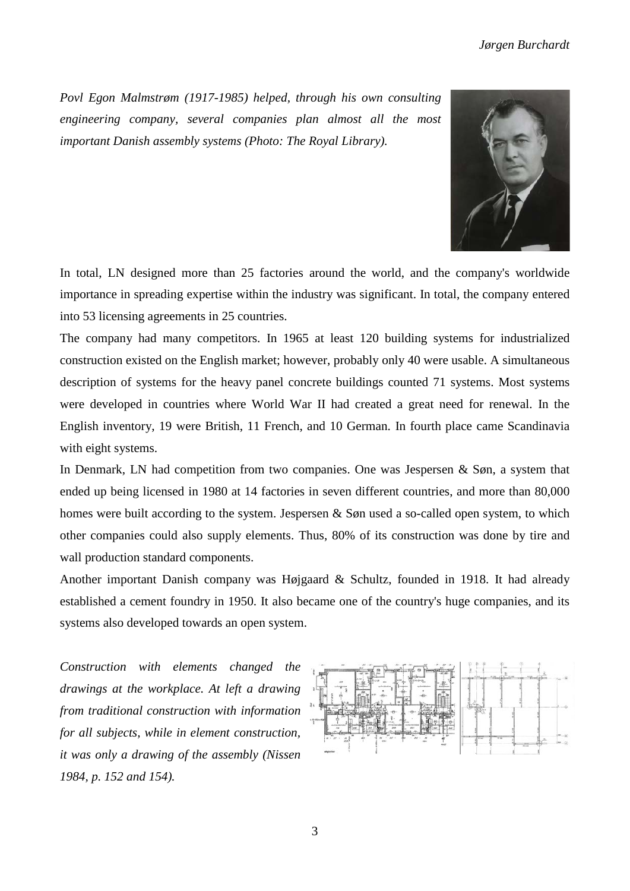*Povl Egon Malmstrøm (1917-1985) helped, through his own consulting engineering company, several companies plan almost all the most important Danish assembly systems (Photo: The Royal Library).*



In total, LN designed more than 25 factories around the world, and the company's worldwide importance in spreading expertise within the industry was significant. In total, the company entered into 53 licensing agreements in 25 countries.

The company had many competitors. In 1965 at least 120 building systems for industrialized construction existed on the English market; however, probably only 40 were usable. A simultaneous description of systems for the heavy panel concrete buildings counted 71 systems. Most systems were developed in countries where World War II had created a great need for renewal. In the English inventory, 19 were British, 11 French, and 10 German. In fourth place came Scandinavia with eight systems.

In Denmark, LN had competition from two companies. One was Jespersen  $\&$  Søn, a system that ended up being licensed in 1980 at 14 factories in seven different countries, and more than 80,000 homes were built according to the system. Jespersen & Søn used a so-called open system, to which other companies could also supply elements. Thus, 80% of its construction was done by tire and wall production standard components.

Another important Danish company was Højgaard & Schultz, founded in 1918. It had already established a cement foundry in 1950. It also became one of the country's huge companies, and its systems also developed towards an open system.

*Construction with elements changed the drawings at the workplace. At left a drawing from traditional construction with information for all subjects, while in element construction, it was only a drawing of the assembly (Nissen 1984, p. 152 and 154).*

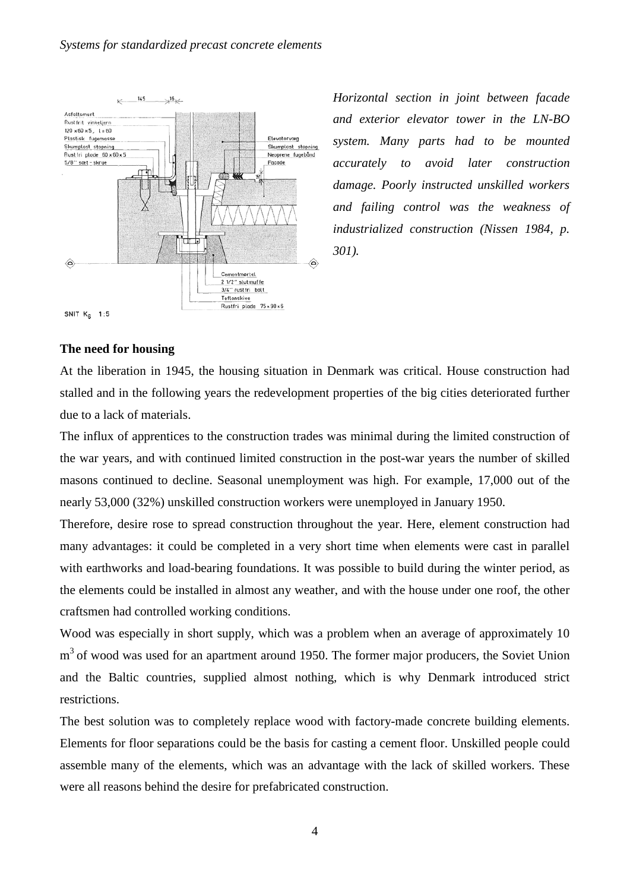

*Horizontal section in joint between facade and exterior elevator tower in the LN-BO system. Many parts had to be mounted accurately to avoid later construction damage. Poorly instructed unskilled workers and failing control was the weakness of industrialized construction (Nissen 1984, p. 301).*

#### **The need for housing**

At the liberation in 1945, the housing situation in Denmark was critical. House construction had stalled and in the following years the redevelopment properties of the big cities deteriorated further due to a lack of materials.

The influx of apprentices to the construction trades was minimal during the limited construction of the war years, and with continued limited construction in the post-war years the number of skilled masons continued to decline. Seasonal unemployment was high. For example, 17,000 out of the nearly 53,000 (32%) unskilled construction workers were unemployed in January 1950.

Therefore, desire rose to spread construction throughout the year. Here, element construction had many advantages: it could be completed in a very short time when elements were cast in parallel with earthworks and load-bearing foundations. It was possible to build during the winter period, as the elements could be installed in almost any weather, and with the house under one roof, the other craftsmen had controlled working conditions.

Wood was especially in short supply, which was a problem when an average of approximately 10 m<sup>3</sup> of wood was used for an apartment around 1950. The former major producers, the Soviet Union and the Baltic countries, supplied almost nothing, which is why Denmark introduced strict restrictions.

The best solution was to completely replace wood with factory-made concrete building elements. Elements for floor separations could be the basis for casting a cement floor. Unskilled people could assemble many of the elements, which was an advantage with the lack of skilled workers. These were all reasons behind the desire for prefabricated construction.

4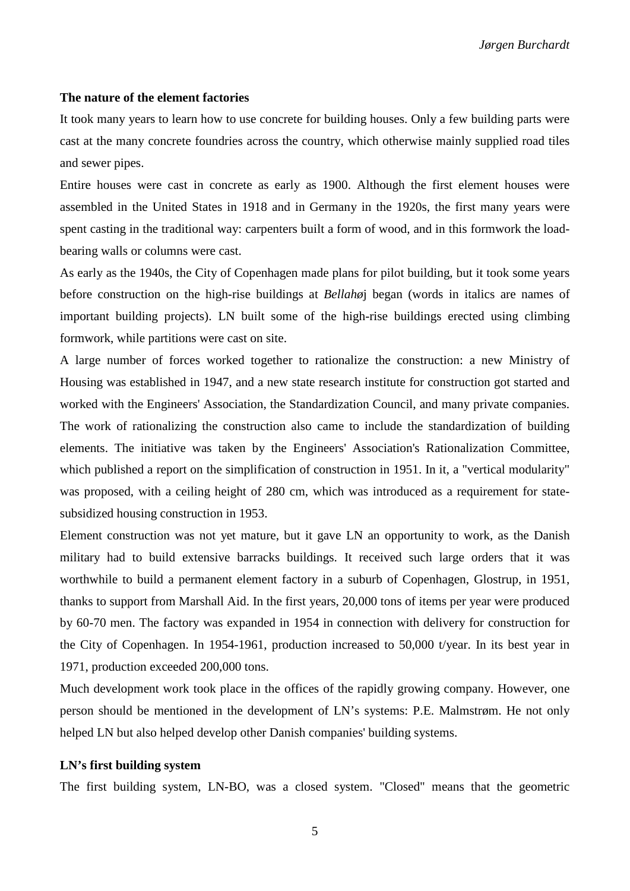#### **The nature of the element factories**

It took many years to learn how to use concrete for building houses. Only a few building parts were cast at the many concrete foundries across the country, which otherwise mainly supplied road tiles and sewer pipes.

Entire houses were cast in concrete as early as 1900. Although the first element houses were assembled in the United States in 1918 and in Germany in the 1920s, the first many years were spent casting in the traditional way: carpenters built a form of wood, and in this formwork the loadbearing walls or columns were cast.

As early as the 1940s, the City of Copenhagen made plans for pilot building, but it took some years before construction on the high-rise buildings at *Bellahø*j began (words in italics are names of important building projects). LN built some of the high-rise buildings erected using climbing formwork, while partitions were cast on site.

A large number of forces worked together to rationalize the construction: a new Ministry of Housing was established in 1947, and a new state research institute for construction got started and worked with the Engineers' Association, the Standardization Council, and many private companies. The work of rationalizing the construction also came to include the standardization of building elements. The initiative was taken by the Engineers' Association's Rationalization Committee, which published a report on the simplification of construction in 1951. In it, a "vertical modularity" was proposed, with a ceiling height of 280 cm, which was introduced as a requirement for statesubsidized housing construction in 1953.

Element construction was not yet mature, but it gave LN an opportunity to work, as the Danish military had to build extensive barracks buildings. It received such large orders that it was worthwhile to build a permanent element factory in a suburb of Copenhagen, Glostrup, in 1951, thanks to support from Marshall Aid. In the first years, 20,000 tons of items per year were produced by 60-70 men. The factory was expanded in 1954 in connection with delivery for construction for the City of Copenhagen. In 1954-1961, production increased to 50,000 t/year. In its best year in 1971, production exceeded 200,000 tons.

Much development work took place in the offices of the rapidly growing company. However, one person should be mentioned in the development of LN's systems: P.E. Malmstrøm. He not only helped LN but also helped develop other Danish companies' building systems.

## **LN's first building system**

The first building system, LN-BO, was a closed system. "Closed" means that the geometric

5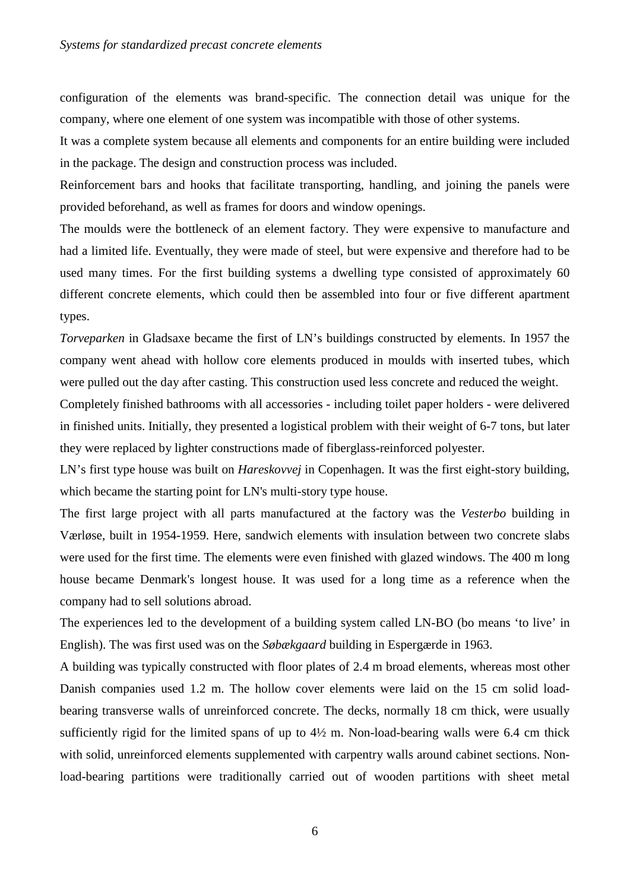configuration of the elements was brand-specific. The connection detail was unique for the company, where one element of one system was incompatible with those of other systems.

It was a complete system because all elements and components for an entire building were included in the package. The design and construction process was included.

Reinforcement bars and hooks that facilitate transporting, handling, and joining the panels were provided beforehand, as well as frames for doors and window openings.

The moulds were the bottleneck of an element factory. They were expensive to manufacture and had a limited life. Eventually, they were made of steel, but were expensive and therefore had to be used many times. For the first building systems a dwelling type consisted of approximately 60 different concrete elements, which could then be assembled into four or five different apartment types.

*Torveparken* in Gladsaxe became the first of LN's buildings constructed by elements. In 1957 the company went ahead with hollow core elements produced in moulds with inserted tubes, which were pulled out the day after casting. This construction used less concrete and reduced the weight.

Completely finished bathrooms with all accessories - including toilet paper holders - were delivered in finished units. Initially, they presented a logistical problem with their weight of 6-7 tons, but later they were replaced by lighter constructions made of fiberglass-reinforced polyester.

LN's first type house was built on *Hareskovvej* in Copenhagen. It was the first eight-story building, which became the starting point for LN's multi-story type house.

The first large project with all parts manufactured at the factory was the *Vesterbo* building in Værløse, built in 1954-1959. Here, sandwich elements with insulation between two concrete slabs were used for the first time. The elements were even finished with glazed windows. The 400 m long house became Denmark's longest house. It was used for a long time as a reference when the company had to sell solutions abroad.

The experiences led to the development of a building system called LN-BO (bo means 'to live' in English). The was first used was on the *Søbækgaard* building in Espergærde in 1963.

A building was typically constructed with floor plates of 2.4 m broad elements, whereas most other Danish companies used 1.2 m. The hollow cover elements were laid on the 15 cm solid loadbearing transverse walls of unreinforced concrete. The decks, normally 18 cm thick, were usually sufficiently rigid for the limited spans of up to  $4\frac{1}{2}$  m. Non-load-bearing walls were 6.4 cm thick with solid, unreinforced elements supplemented with carpentry walls around cabinet sections. Nonload-bearing partitions were traditionally carried out of wooden partitions with sheet metal

6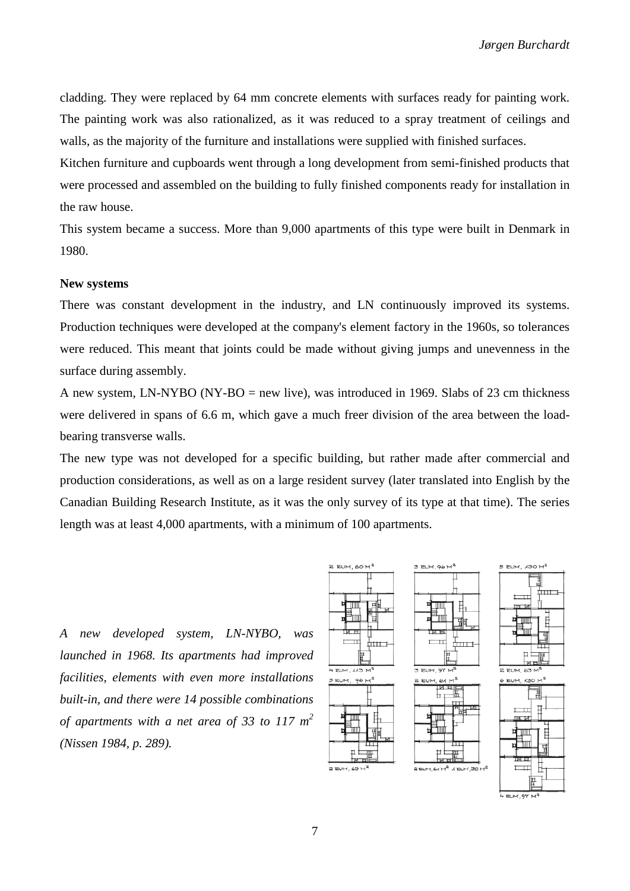cladding. They were replaced by 64 mm concrete elements with surfaces ready for painting work. The painting work was also rationalized, as it was reduced to a spray treatment of ceilings and walls, as the majority of the furniture and installations were supplied with finished surfaces.

Kitchen furniture and cupboards went through a long development from semi-finished products that were processed and assembled on the building to fully finished components ready for installation in the raw house.

This system became a success. More than 9,000 apartments of this type were built in Denmark in 1980.

## **New systems**

There was constant development in the industry, and LN continuously improved its systems. Production techniques were developed at the company's element factory in the 1960s, so tolerances were reduced. This meant that joints could be made without giving jumps and unevenness in the surface during assembly.

A new system, LN-NYBO (NY-BO = new live), was introduced in 1969. Slabs of 23 cm thickness were delivered in spans of 6.6 m, which gave a much freer division of the area between the loadbearing transverse walls.

The new type was not developed for a specific building, but rather made after commercial and production considerations, as well as on a large resident survey (later translated into English by the Canadian Building Research Institute, as it was the only survey of its type at that time). The series length was at least 4,000 apartments, with a minimum of 100 apartments.

*A new developed system, LN-NYBO, was launched in 1968. Its apartments had improved facilities, elements with even more installations built-in, and there were 14 possible combinations of apartments with a net area of 33 to 117 m2 (Nissen 1984, p. 289).*





H.





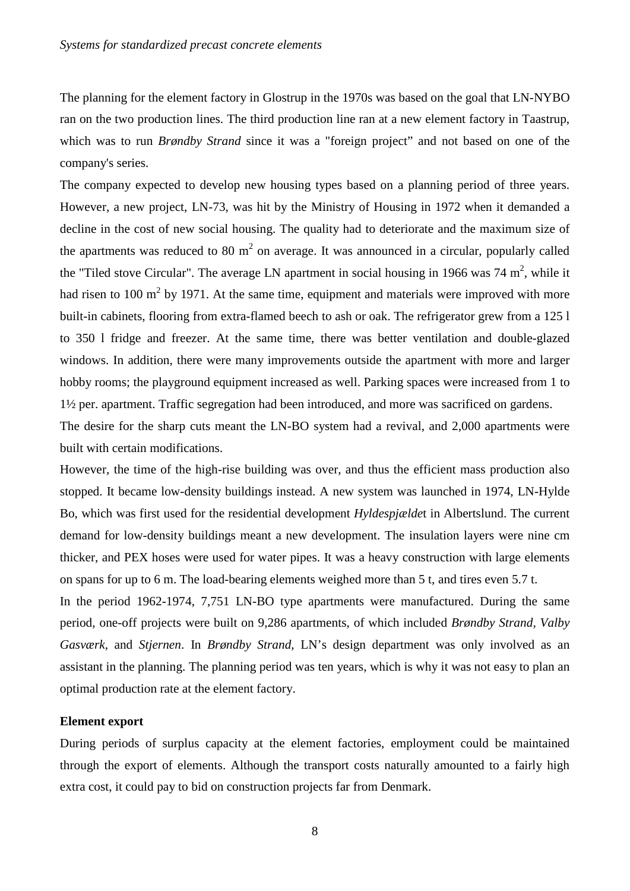The planning for the element factory in Glostrup in the 1970s was based on the goal that LN-NYBO ran on the two production lines. The third production line ran at a new element factory in Taastrup, which was to run *Brøndby Strand* since it was a "foreign project" and not based on one of the company's series.

The company expected to develop new housing types based on a planning period of three years. However, a new project, LN-73, was hit by the Ministry of Housing in 1972 when it demanded a decline in the cost of new social housing. The quality had to deteriorate and the maximum size of the apartments was reduced to 80  $m<sup>2</sup>$  on average. It was announced in a circular, popularly called the "Tiled stove Circular". The average LN apartment in social housing in 1966 was 74  $m^2$ , while it had risen to  $100 \text{ m}^2$  by 1971. At the same time, equipment and materials were improved with more built-in cabinets, flooring from extra-flamed beech to ash or oak. The refrigerator grew from a 125 l to 350 l fridge and freezer. At the same time, there was better ventilation and double-glazed windows. In addition, there were many improvements outside the apartment with more and larger hobby rooms; the playground equipment increased as well. Parking spaces were increased from 1 to 1½ per. apartment. Traffic segregation had been introduced, and more was sacrificed on gardens.

The desire for the sharp cuts meant the LN-BO system had a revival, and 2,000 apartments were built with certain modifications.

However, the time of the high-rise building was over, and thus the efficient mass production also stopped. It became low-density buildings instead. A new system was launched in 1974, LN-Hylde Bo, which was first used for the residential development *Hyldespjælde*t in Albertslund. The current demand for low-density buildings meant a new development. The insulation layers were nine cm thicker, and PEX hoses were used for water pipes. It was a heavy construction with large elements on spans for up to 6 m. The load-bearing elements weighed more than 5 t, and tires even 5.7 t.

In the period 1962-1974, 7,751 LN-BO type apartments were manufactured. During the same period, one-off projects were built on 9,286 apartments, of which included *Brøndby Strand, Valby Gasværk,* and *Stjernen*. In *Brøndby Strand*, LN's design department was only involved as an assistant in the planning. The planning period was ten years, which is why it was not easy to plan an optimal production rate at the element factory.

# **Element export**

During periods of surplus capacity at the element factories, employment could be maintained through the export of elements. Although the transport costs naturally amounted to a fairly high extra cost, it could pay to bid on construction projects far from Denmark.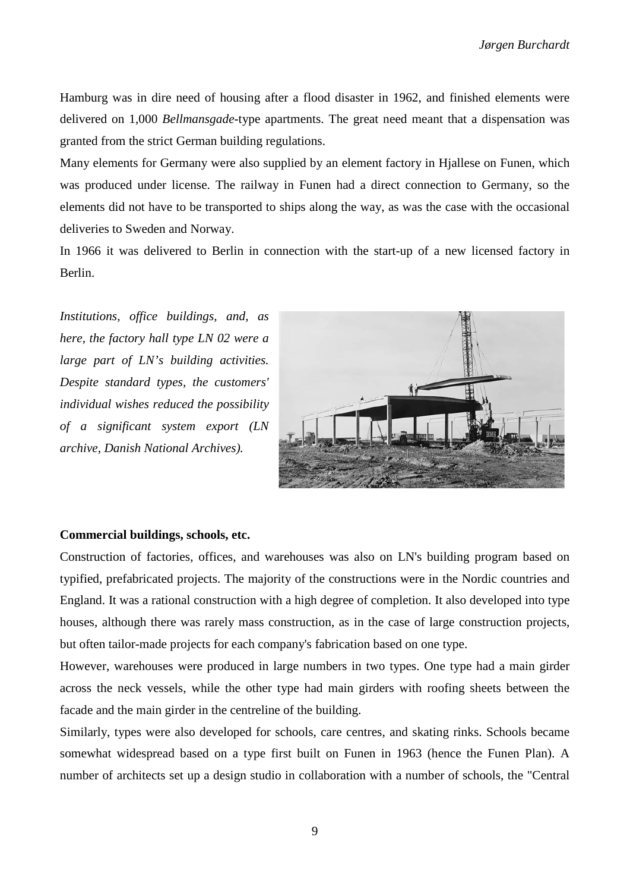Hamburg was in dire need of housing after a flood disaster in 1962, and finished elements were delivered on 1,000 *Bellmansgade*-type apartments. The great need meant that a dispensation was granted from the strict German building regulations.

Many elements for Germany were also supplied by an element factory in Hjallese on Funen, which was produced under license. The railway in Funen had a direct connection to Germany, so the elements did not have to be transported to ships along the way, as was the case with the occasional deliveries to Sweden and Norway.

In 1966 it was delivered to Berlin in connection with the start-up of a new licensed factory in Berlin.

*Institutions, office buildings, and, as here, the factory hall type LN 02 were a large part of LN's building activities. Despite standard types, the customers' individual wishes reduced the possibility of a significant system export (LN archive, Danish National Archives).*



# **Commercial buildings, schools, etc.**

Construction of factories, offices, and warehouses was also on LN's building program based on typified, prefabricated projects. The majority of the constructions were in the Nordic countries and England. It was a rational construction with a high degree of completion. It also developed into type houses, although there was rarely mass construction, as in the case of large construction projects, but often tailor-made projects for each company's fabrication based on one type.

However, warehouses were produced in large numbers in two types. One type had a main girder across the neck vessels, while the other type had main girders with roofing sheets between the facade and the main girder in the centreline of the building.

Similarly, types were also developed for schools, care centres, and skating rinks. Schools became somewhat widespread based on a type first built on Funen in 1963 (hence the Funen Plan). A number of architects set up a design studio in collaboration with a number of schools, the "Central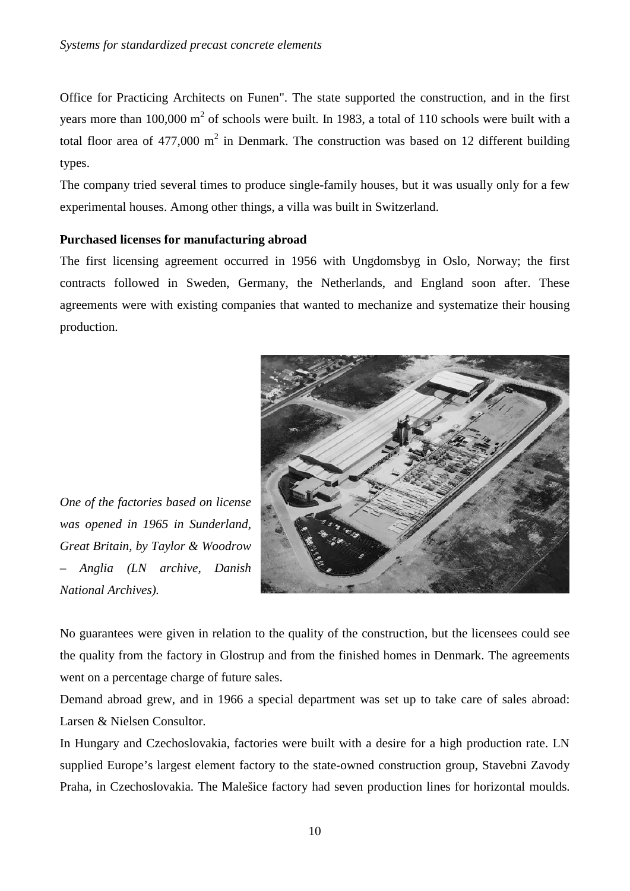Office for Practicing Architects on Funen". The state supported the construction, and in the first years more than  $100,000 \text{ m}^2$  of schools were built. In 1983, a total of 110 schools were built with a total floor area of  $477,000 \text{ m}^2$  in Denmark. The construction was based on 12 different building types.

The company tried several times to produce single-family houses, but it was usually only for a few experimental houses. Among other things, a villa was built in Switzerland.

# **Purchased licenses for manufacturing abroad**

The first licensing agreement occurred in 1956 with Ungdomsbyg in Oslo, Norway; the first contracts followed in Sweden, Germany, the Netherlands, and England soon after. These agreements were with existing companies that wanted to mechanize and systematize their housing production.



*One of the factories based on license was opened in 1965 in Sunderland, Great Britain, by Taylor & Woodrow – Anglia (LN archive, Danish National Archives).*

No guarantees were given in relation to the quality of the construction, but the licensees could see the quality from the factory in Glostrup and from the finished homes in Denmark. The agreements went on a percentage charge of future sales.

Demand abroad grew, and in 1966 a special department was set up to take care of sales abroad: Larsen & Nielsen Consultor.

In Hungary and Czechoslovakia, factories were built with a desire for a high production rate. LN supplied Europe's largest element factory to the state-owned construction group, Stavebni Zavody Praha, in Czechoslovakia. The Malešice factory had seven production lines for horizontal moulds.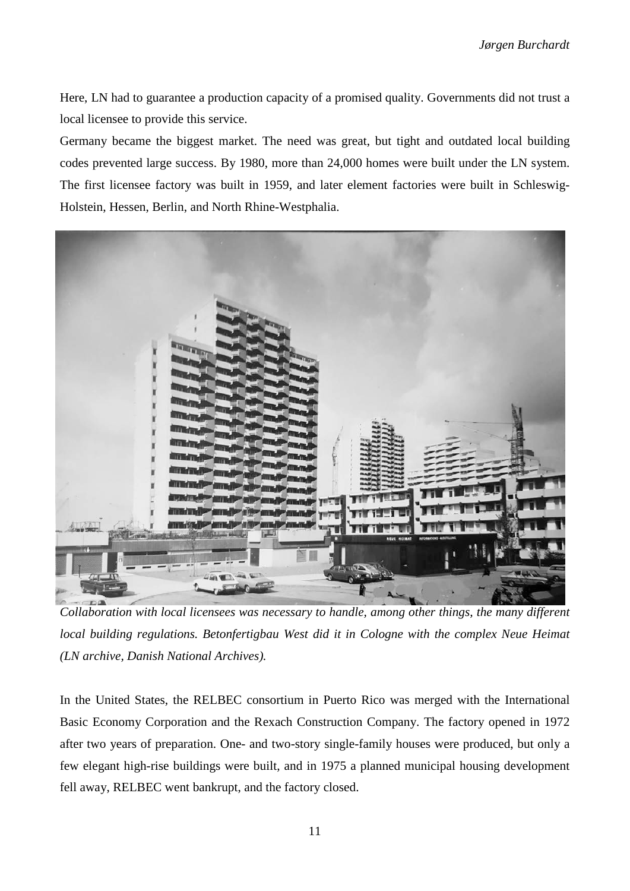Here, LN had to guarantee a production capacity of a promised quality. Governments did not trust a local licensee to provide this service.

Germany became the biggest market. The need was great, but tight and outdated local building codes prevented large success. By 1980, more than 24,000 homes were built under the LN system. The first licensee factory was built in 1959, and later element factories were built in Schleswig-Holstein, Hessen, Berlin, and North Rhine-Westphalia.



*Collaboration with local licensees was necessary to handle, among other things, the many different local building regulations. Betonfertigbau West did it in Cologne with the complex Neue Heimat (LN archive, Danish National Archives).*

In the United States, the RELBEC consortium in Puerto Rico was merged with the International Basic Economy Corporation and the Rexach Construction Company. The factory opened in 1972 after two years of preparation. One- and two-story single-family houses were produced, but only a few elegant high-rise buildings were built, and in 1975 a planned municipal housing development fell away, RELBEC went bankrupt, and the factory closed.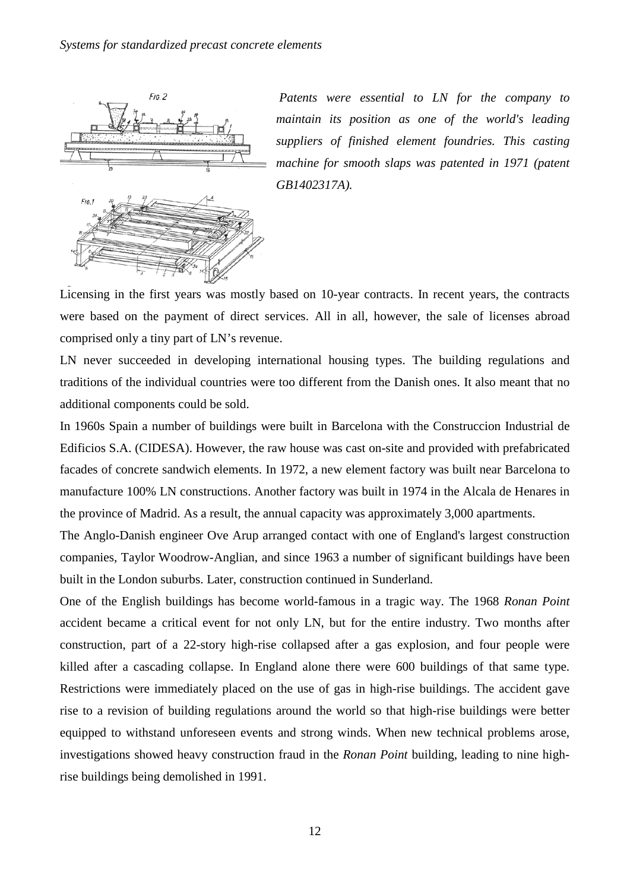

*Patents were essential to LN for the company to maintain its position as one of the world's leading suppliers of finished element foundries. This casting machine for smooth slaps was patented in 1971 (patent GB1402317A).*

Licensing in the first years was mostly based on 10-year contracts. In recent years, the contracts were based on the payment of direct services. All in all, however, the sale of licenses abroad comprised only a tiny part of LN's revenue.

LN never succeeded in developing international housing types. The building regulations and traditions of the individual countries were too different from the Danish ones. It also meant that no additional components could be sold.

In 1960s Spain a number of buildings were built in Barcelona with the Construccion Industrial de Edificios S.A. (CIDESA). However, the raw house was cast on-site and provided with prefabricated facades of concrete sandwich elements. In 1972, a new element factory was built near Barcelona to manufacture 100% LN constructions. Another factory was built in 1974 in the Alcala de Henares in the province of Madrid. As a result, the annual capacity was approximately 3,000 apartments.

The Anglo-Danish engineer Ove Arup arranged contact with one of England's largest construction companies, Taylor Woodrow-Anglian, and since 1963 a number of significant buildings have been built in the London suburbs. Later, construction continued in Sunderland.

One of the English buildings has become world-famous in a tragic way. The 1968 *Ronan Point* accident became a critical event for not only LN, but for the entire industry. Two months after construction, part of a 22-story high-rise collapsed after a gas explosion, and four people were killed after a cascading collapse. In England alone there were 600 buildings of that same type. Restrictions were immediately placed on the use of gas in high-rise buildings. The accident gave rise to a revision of building regulations around the world so that high-rise buildings were better equipped to withstand unforeseen events and strong winds. When new technical problems arose, investigations showed heavy construction fraud in the *Ronan Point* building, leading to nine highrise buildings being demolished in 1991.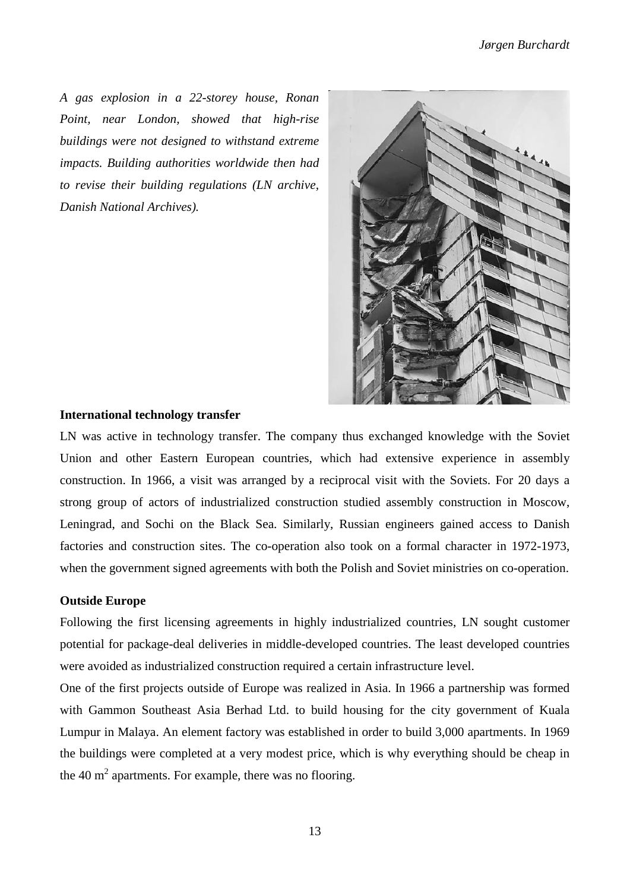*A gas explosion in a 22-storey house, Ronan Point, near London, showed that high-rise buildings were not designed to withstand extreme impacts. Building authorities worldwide then had to revise their building regulations (LN archive, Danish National Archives).*



# **International technology transfer**

LN was active in technology transfer. The company thus exchanged knowledge with the Soviet Union and other Eastern European countries, which had extensive experience in assembly construction. In 1966, a visit was arranged by a reciprocal visit with the Soviets. For 20 days a strong group of actors of industrialized construction studied assembly construction in Moscow, Leningrad, and Sochi on the Black Sea. Similarly, Russian engineers gained access to Danish factories and construction sites. The co-operation also took on a formal character in 1972-1973, when the government signed agreements with both the Polish and Soviet ministries on co-operation.

# **Outside Europe**

Following the first licensing agreements in highly industrialized countries, LN sought customer potential for package-deal deliveries in middle-developed countries. The least developed countries were avoided as industrialized construction required a certain infrastructure level.

One of the first projects outside of Europe was realized in Asia. In 1966 a partnership was formed with Gammon Southeast Asia Berhad Ltd. to build housing for the city government of Kuala Lumpur in Malaya. An element factory was established in order to build 3,000 apartments. In 1969 the buildings were completed at a very modest price, which is why everything should be cheap in the 40  $m<sup>2</sup>$  apartments. For example, there was no flooring.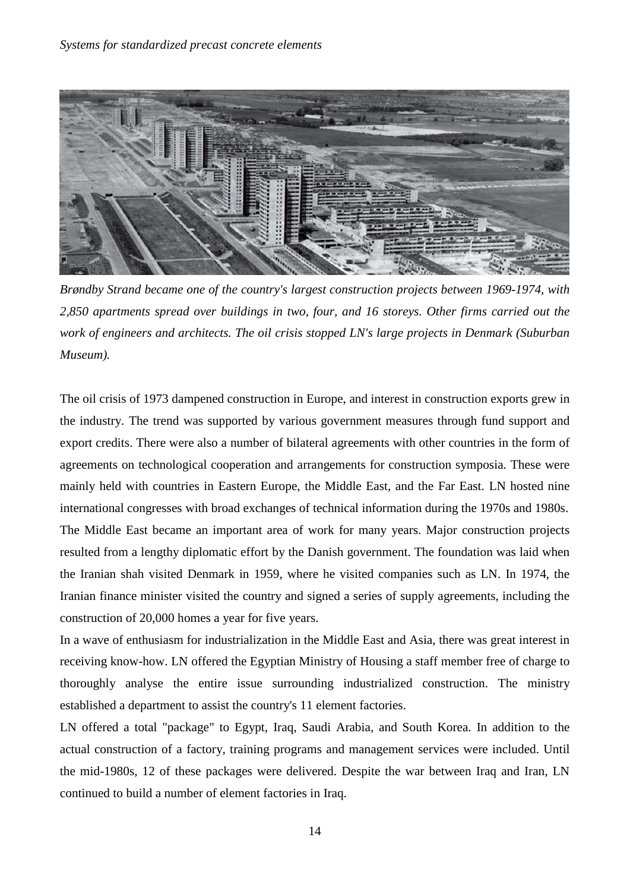

*Brøndby Strand became one of the country's largest construction projects between 1969-1974, with 2,850 apartments spread over buildings in two, four, and 16 storeys. Other firms carried out the work of engineers and architects. The oil crisis stopped LN's large projects in Denmark (Suburban Museum).*

The oil crisis of 1973 dampened construction in Europe, and interest in construction exports grew in the industry. The trend was supported by various government measures through fund support and export credits. There were also a number of bilateral agreements with other countries in the form of agreements on technological cooperation and arrangements for construction symposia. These were mainly held with countries in Eastern Europe, the Middle East, and the Far East. LN hosted nine international congresses with broad exchanges of technical information during the 1970s and 1980s. The Middle East became an important area of work for many years. Major construction projects resulted from a lengthy diplomatic effort by the Danish government. The foundation was laid when the Iranian shah visited Denmark in 1959, where he visited companies such as LN. In 1974, the Iranian finance minister visited the country and signed a series of supply agreements, including the construction of 20,000 homes a year for five years.

In a wave of enthusiasm for industrialization in the Middle East and Asia, there was great interest in receiving know-how. LN offered the Egyptian Ministry of Housing a staff member free of charge to thoroughly analyse the entire issue surrounding industrialized construction. The ministry established a department to assist the country's 11 element factories.

LN offered a total "package" to Egypt, Iraq, Saudi Arabia, and South Korea. In addition to the actual construction of a factory, training programs and management services were included. Until the mid-1980s, 12 of these packages were delivered. Despite the war between Iraq and Iran, LN continued to build a number of element factories in Iraq.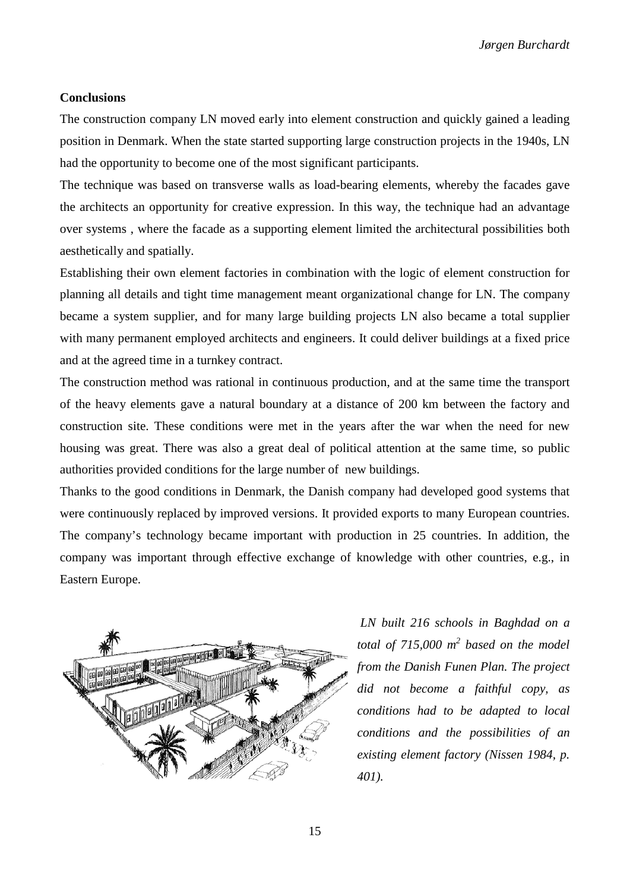#### **Conclusions**

The construction company LN moved early into element construction and quickly gained a leading position in Denmark. When the state started supporting large construction projects in the 1940s, LN had the opportunity to become one of the most significant participants.

The technique was based on transverse walls as load-bearing elements, whereby the facades gave the architects an opportunity for creative expression. In this way, the technique had an advantage over systems , where the facade as a supporting element limited the architectural possibilities both aesthetically and spatially.

Establishing their own element factories in combination with the logic of element construction for planning all details and tight time management meant organizational change for LN. The company became a system supplier, and for many large building projects LN also became a total supplier with many permanent employed architects and engineers. It could deliver buildings at a fixed price and at the agreed time in a turnkey contract.

The construction method was rational in continuous production, and at the same time the transport of the heavy elements gave a natural boundary at a distance of 200 km between the factory and construction site. These conditions were met in the years after the war when the need for new housing was great. There was also a great deal of political attention at the same time, so public authorities provided conditions for the large number of new buildings.

Thanks to the good conditions in Denmark, the Danish company had developed good systems that were continuously replaced by improved versions. It provided exports to many European countries. The company's technology became important with production in 25 countries. In addition, the company was important through effective exchange of knowledge with other countries, e.g., in Eastern Europe.



*LN built 216 schools in Baghdad on a total of 715,000 m2 based on the model from the Danish Funen Plan. The project did not become a faithful copy, as conditions had to be adapted to local conditions and the possibilities of an existing element factory (Nissen 1984, p. 401).*